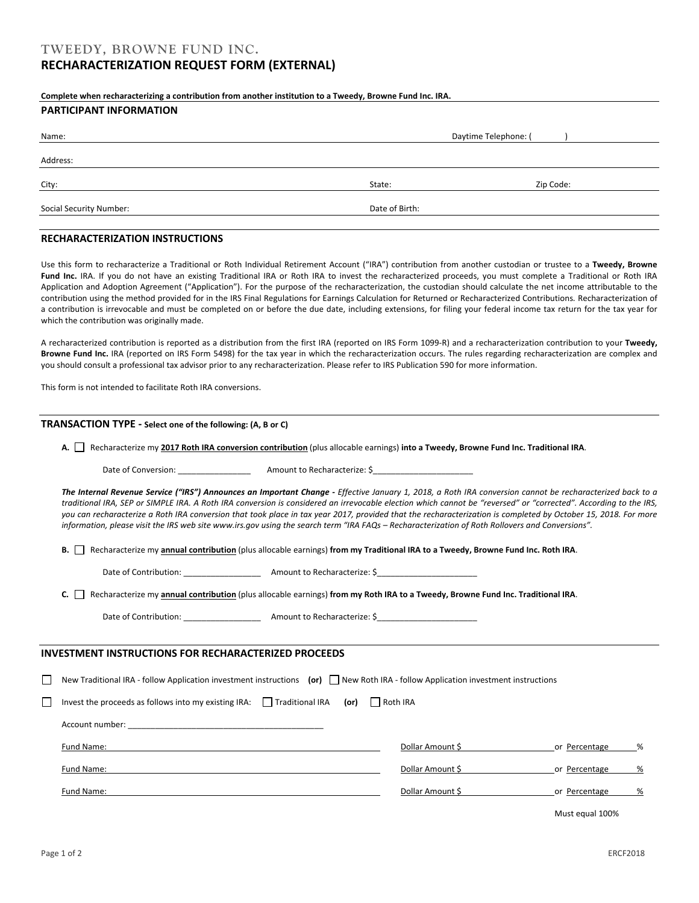### **Complete when recharacterizing a contribution from another institution to a Tweedy, Browne Fund Inc. IRA.**

#### **PARTICIPANT INFORMATION**

| Name:                   | Daytime Telephone: ( |           |  |
|-------------------------|----------------------|-----------|--|
| Address:                |                      |           |  |
| City:                   | State:               | Zip Code: |  |
| Social Security Number: | Date of Birth:       |           |  |
|                         |                      |           |  |

### **RECHARACTERIZATION INSTRUCTIONS**

Use this form to recharacterize a Traditional or Roth Individual Retirement Account ("IRA") contribution from another custodian or trustee to a **Tweedy, Browne**  Fund Inc. IRA. If you do not have an existing Traditional IRA or Roth IRA to invest the recharacterized proceeds, you must complete a Traditional or Roth IRA Application and Adoption Agreement ("Application"). For the purpose of the recharacterization, the custodian should calculate the net income attributable to the contribution using the method provided for in the IRS Final Regulations for Earnings Calculation for Returned or Recharacterized Contributions*.* Recharacterization of a contribution is irrevocable and must be completed on or before the due date, including extensions, for filing your federal income tax return for the tax year for which the contribution was originally made.

A recharacterized contribution is reported as a distribution from the first IRA (reported on IRS Form 1099-R) and a recharacterization contribution to your **Tweedy, Browne Fund Inc.** IRA (reported on IRS Form 5498) for the tax year in which the recharacterization occurs. The rules regarding recharacterization are complex and you should consult a professional tax advisor prior to any recharacterization. Please refer to IRS Publication 590 for more information.

This form is not intended to facilitate Roth IRA conversions.

#### **TRANSACTION TYPE - Select one of the following: (A, B or C)**

**A.** Recharacterize my **2017 Roth IRA conversion contribution** (plus allocable earnings) **into a Tweedy, Browne Fund Inc. Traditional IRA**.

Date of Conversion: \_\_\_\_\_\_\_\_\_\_\_\_\_\_\_\_ Amount to Recharacterize: \$\_\_\_\_\_\_\_\_\_\_\_\_\_\_\_\_\_\_\_\_\_\_

The Internal Revenue Service ("IRS") Announces an Important Change - Effective January 1, 2018, a Roth IRA conversion cannot be recharacterized back to a *traditional IRA, SEP or SIMPLE IRA. A Roth IRA conversion is considered an irrevocable election which cannot be "reversed" or "corrected". According to the IRS, you can recharacterize a Roth IRA conversion that took place in tax year 2017, provided that the recharacterization is completed by October 15, 2018. For more information, please visit the IRS web site www.irs.gov using the search term "IRA FAQs – Recharacterization of Roth Rollovers and Conversions".*

**B.** Recharacterize my **annual contribution** (plus allocable earnings) **from my Traditional IRA to a Tweedy, Browne Fund Inc. Roth IRA**.

Date of Contribution: \_\_\_\_\_\_\_\_\_\_\_\_\_\_\_\_\_ Amount to Recharacterize: \$\_\_\_\_\_\_\_\_\_\_\_\_\_\_\_\_\_\_\_\_\_\_

**C.** Recharacterize my **annual contribution** (plus allocable earnings) **from my Roth IRA to a Tweedy, Browne Fund Inc. Traditional IRA**.

Date of Contribution: \_\_\_\_\_\_\_\_\_\_\_\_\_\_\_\_\_ Amount to Recharacterize: \$\_\_\_\_\_\_\_\_\_\_\_\_\_\_\_\_\_\_\_\_\_\_

#### **INVESTMENT INSTRUCTIONS FOR RECHARACTERIZED PROCEEDS**

New Traditional IRA - follow Application investment instructions **(or)** New Roth IRA - follow Application investment instructions

Invest the proceeds as follows into my existing IRA: Traditional IRA **(or)** CRoth IRA

| Account number: |                  |                    |
|-----------------|------------------|--------------------|
| Fund Name:      | Dollar Amount \$ | %<br>or Percentage |
| Fund Name:      | Dollar Amount \$ | %<br>or Percentage |
| Fund Name:      | Dollar Amount \$ | %<br>or Percentage |

Must equal 100%